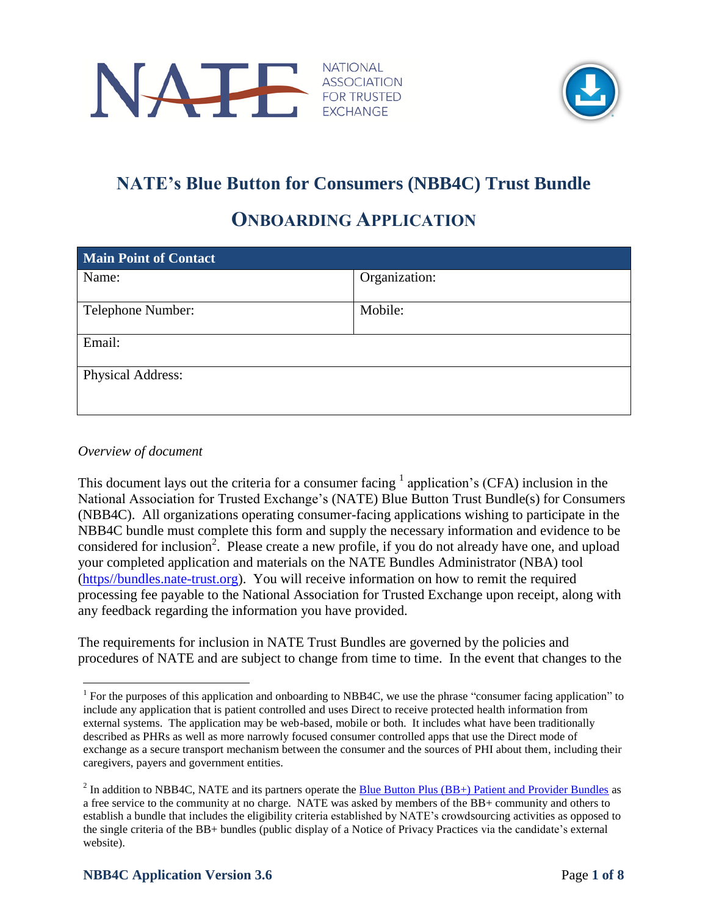



## **NATE's Blue Button for Consumers (NBB4C) Trust Bundle**

### **ONBOARDING APPLICATION**

| Organization: |  |  |
|---------------|--|--|
|               |  |  |
| Mobile:       |  |  |
| Email:        |  |  |
|               |  |  |
|               |  |  |

#### *Overview of document*

This document lays out the criteria for a consumer facing  $<sup>1</sup>$  application's (CFA) inclusion in the</sup> National Association for Trusted Exchange's (NATE) Blue Button Trust Bundle(s) for Consumers (NBB4C). All organizations operating consumer-facing applications wishing to participate in the NBB4C bundle must complete this form and supply the necessary information and evidence to be considered for inclusion<sup>2</sup>. Please create a new profile, if you do not already have one, and upload your completed application and materials on the NATE Bundles Administrator (NBA) tool [\(https//bundles.nate-trust.org\)](https://bundles.nate-trust.org/Nate/index.html). You will receive information on how to remit the required processing fee payable to the National Association for Trusted Exchange upon receipt, along with any feedback regarding the information you have provided.

The requirements for inclusion in NATE Trust Bundles are governed by the policies and procedures of NATE and are subject to change from time to time. In the event that changes to the

 $\overline{a}$ <sup>1</sup> For the purposes of this application and onboarding to NBB4C, we use the phrase "consumer facing application" to include any application that is patient controlled and uses Direct to receive protected health information from external systems. The application may be web-based, mobile or both. It includes what have been traditionally described as PHRs as well as more narrowly focused consumer controlled apps that use the Direct mode of exchange as a secure transport mechanism between the consumer and the sources of PHI about them, including their caregivers, payers and government entities.

<sup>&</sup>lt;sup>2</sup> In addition to NBB4C, NATE and its partners operate the **Blue Button Plus (BB+)** Patient and Provider Bundles as a free service to the community at no charge. NATE was asked by members of the BB+ community and others to establish a bundle that includes the eligibility criteria established by NATE's crowdsourcing activities as opposed to the single criteria of the BB+ bundles (public display of a Notice of Privacy Practices via the candidate's external website).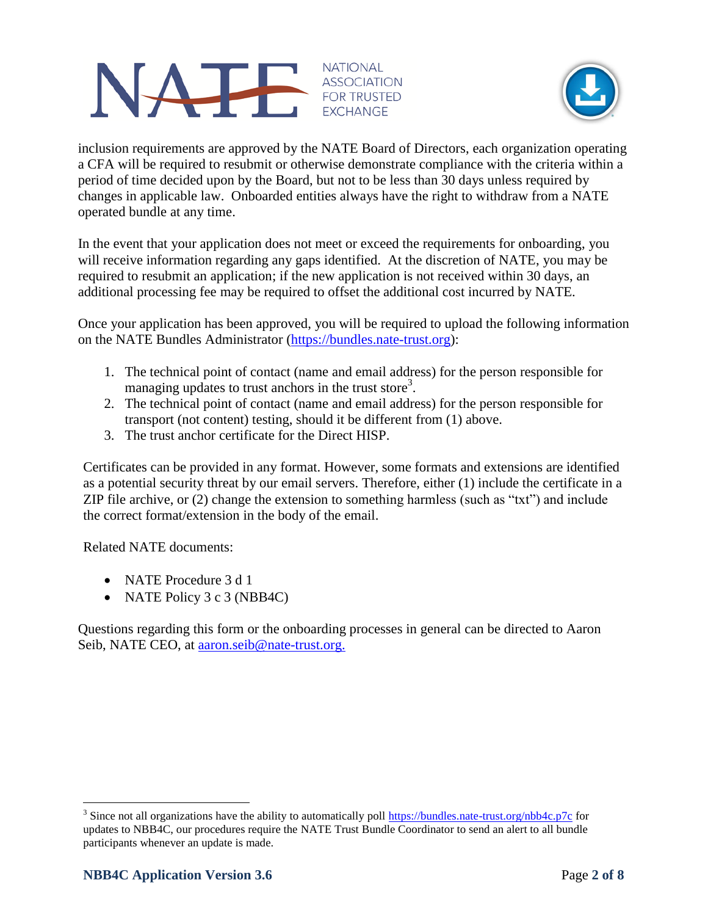



inclusion requirements are approved by the NATE Board of Directors, each organization operating a CFA will be required to resubmit or otherwise demonstrate compliance with the criteria within a period of time decided upon by the Board, but not to be less than 30 days unless required by changes in applicable law. Onboarded entities always have the right to withdraw from a NATE operated bundle at any time.

In the event that your application does not meet or exceed the requirements for onboarding, you will receive information regarding any gaps identified. At the discretion of NATE, you may be required to resubmit an application; if the new application is not received within 30 days, an additional processing fee may be required to offset the additional cost incurred by NATE.

Once your application has been approved, you will be required to upload the following information on the NATE Bundles Administrator [\(https://bundles.nate-trust.org\)](https://bundles.nate-trust.org/):

- 1. The technical point of contact (name and email address) for the person responsible for managing updates to trust anchors in the trust store<sup>3</sup>.
- 2. The technical point of contact (name and email address) for the person responsible for transport (not content) testing, should it be different from (1) above.
- 3. The trust anchor certificate for the Direct HISP.

Certificates can be provided in any format. However, some formats and extensions are identified as a potential security threat by our email servers. Therefore, either (1) include the certificate in a ZIP file archive, or (2) change the extension to something harmless (such as "txt") and include the correct format/extension in the body of the email.

Related NATE documents:

- NATE Procedure 3 d 1
- NATE Policy 3 c 3 (NBB4C)

Questions regarding this form or the onboarding processes in general can be directed to Aaron Seib, NATE CEO, at [aaron.seib@n](mailto:aaron.seib@)ate-trust.org.

 $\overline{a}$ <sup>3</sup> Since not all organizations have the ability to automatically poll<https://bundles.nate-trust.org/nbb4c.p7c> for updates to NBB4C, our procedures require the NATE Trust Bundle Coordinator to send an alert to all bundle participants whenever an update is made.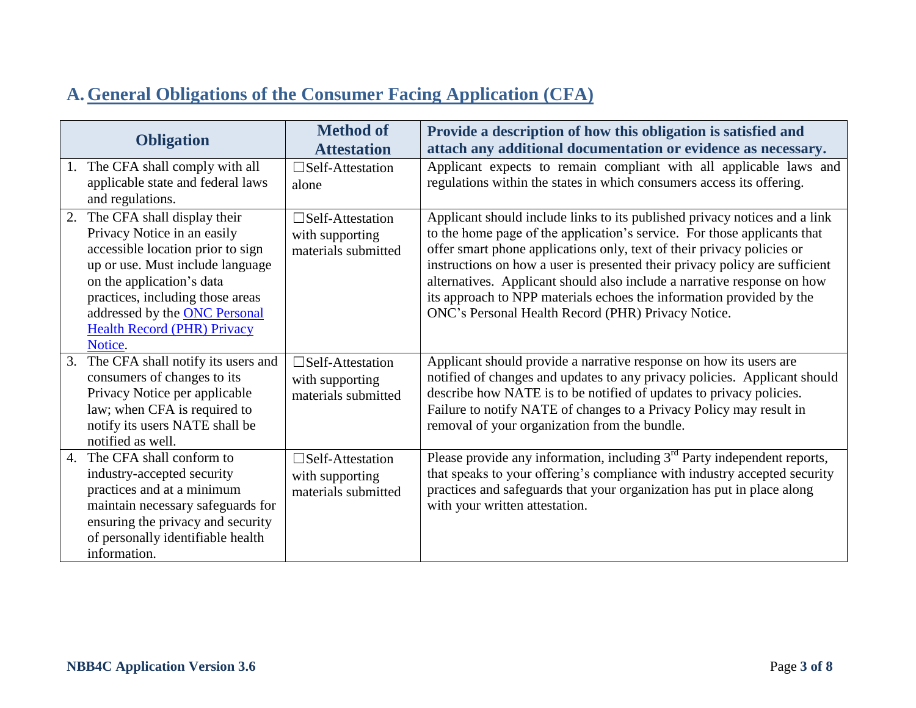## **A. General Obligations of the Consumer Facing Application (CFA)**

|    |                                                                                                                                                                                                                                                                                        | <b>Method of</b>                                                     | Provide a description of how this obligation is satisfied and                                                                                                                                                                                                                                                                                                                                                                                                                                                            |
|----|----------------------------------------------------------------------------------------------------------------------------------------------------------------------------------------------------------------------------------------------------------------------------------------|----------------------------------------------------------------------|--------------------------------------------------------------------------------------------------------------------------------------------------------------------------------------------------------------------------------------------------------------------------------------------------------------------------------------------------------------------------------------------------------------------------------------------------------------------------------------------------------------------------|
|    | <b>Obligation</b>                                                                                                                                                                                                                                                                      | <b>Attestation</b>                                                   | attach any additional documentation or evidence as necessary.                                                                                                                                                                                                                                                                                                                                                                                                                                                            |
|    | The CFA shall comply with all<br>applicable state and federal laws<br>and regulations.                                                                                                                                                                                                 | $\square$ Self-Attestation<br>alone                                  | Applicant expects to remain compliant with all applicable laws and<br>regulations within the states in which consumers access its offering.                                                                                                                                                                                                                                                                                                                                                                              |
| 2. | The CFA shall display their<br>Privacy Notice in an easily<br>accessible location prior to sign<br>up or use. Must include language<br>on the application's data<br>practices, including those areas<br>addressed by the ONC Personal<br><b>Health Record (PHR) Privacy</b><br>Notice. | $\square$ Self-Attestation<br>with supporting<br>materials submitted | Applicant should include links to its published privacy notices and a link<br>to the home page of the application's service. For those applicants that<br>offer smart phone applications only, text of their privacy policies or<br>instructions on how a user is presented their privacy policy are sufficient<br>alternatives. Applicant should also include a narrative response on how<br>its approach to NPP materials echoes the information provided by the<br>ONC's Personal Health Record (PHR) Privacy Notice. |
| 3. | The CFA shall notify its users and<br>consumers of changes to its<br>Privacy Notice per applicable<br>law; when CFA is required to<br>notify its users NATE shall be<br>notified as well.                                                                                              | $\square$ Self-Attestation<br>with supporting<br>materials submitted | Applicant should provide a narrative response on how its users are<br>notified of changes and updates to any privacy policies. Applicant should<br>describe how NATE is to be notified of updates to privacy policies.<br>Failure to notify NATE of changes to a Privacy Policy may result in<br>removal of your organization from the bundle.                                                                                                                                                                           |
| 4. | The CFA shall conform to<br>industry-accepted security<br>practices and at a minimum<br>maintain necessary safeguards for<br>ensuring the privacy and security<br>of personally identifiable health<br>information.                                                                    | $\square$ Self-Attestation<br>with supporting<br>materials submitted | Please provide any information, including $3rd$ Party independent reports,<br>that speaks to your offering's compliance with industry accepted security<br>practices and safeguards that your organization has put in place along<br>with your written attestation.                                                                                                                                                                                                                                                      |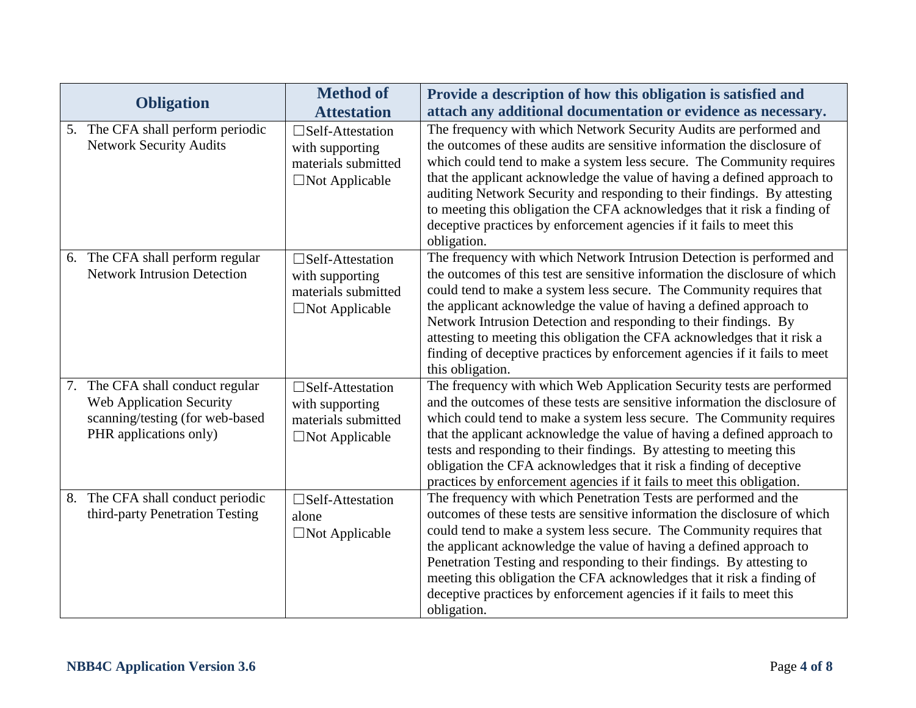|    | <b>Obligation</b>                                                                                                         | <b>Method of</b>                                                                     | Provide a description of how this obligation is satisfied and                                                                                                                                                                                                                                                                                                                                                                                                                                                                                         |
|----|---------------------------------------------------------------------------------------------------------------------------|--------------------------------------------------------------------------------------|-------------------------------------------------------------------------------------------------------------------------------------------------------------------------------------------------------------------------------------------------------------------------------------------------------------------------------------------------------------------------------------------------------------------------------------------------------------------------------------------------------------------------------------------------------|
|    |                                                                                                                           | <b>Attestation</b>                                                                   | attach any additional documentation or evidence as necessary.                                                                                                                                                                                                                                                                                                                                                                                                                                                                                         |
|    | 5. The CFA shall perform periodic<br><b>Network Security Audits</b>                                                       | □Self-Attestation<br>with supporting<br>materials submitted<br>□Not Applicable       | The frequency with which Network Security Audits are performed and<br>the outcomes of these audits are sensitive information the disclosure of<br>which could tend to make a system less secure. The Community requires<br>that the applicant acknowledge the value of having a defined approach to<br>auditing Network Security and responding to their findings. By attesting<br>to meeting this obligation the CFA acknowledges that it risk a finding of<br>deceptive practices by enforcement agencies if it fails to meet this<br>obligation.   |
|    | 6. The CFA shall perform regular<br><b>Network Intrusion Detection</b>                                                    | □Self-Attestation<br>with supporting<br>materials submitted<br>$\Box$ Not Applicable | The frequency with which Network Intrusion Detection is performed and<br>the outcomes of this test are sensitive information the disclosure of which<br>could tend to make a system less secure. The Community requires that<br>the applicant acknowledge the value of having a defined approach to<br>Network Intrusion Detection and responding to their findings. By<br>attesting to meeting this obligation the CFA acknowledges that it risk a<br>finding of deceptive practices by enforcement agencies if it fails to meet<br>this obligation. |
|    | 7. The CFA shall conduct regular<br>Web Application Security<br>scanning/testing (for web-based<br>PHR applications only) | □Self-Attestation<br>with supporting<br>materials submitted<br>$\Box$ Not Applicable | The frequency with which Web Application Security tests are performed<br>and the outcomes of these tests are sensitive information the disclosure of<br>which could tend to make a system less secure. The Community requires<br>that the applicant acknowledge the value of having a defined approach to<br>tests and responding to their findings. By attesting to meeting this<br>obligation the CFA acknowledges that it risk a finding of deceptive<br>practices by enforcement agencies if it fails to meet this obligation.                    |
| 8. | The CFA shall conduct periodic<br>third-party Penetration Testing                                                         | □Self-Attestation<br>alone<br>$\Box$ Not Applicable                                  | The frequency with which Penetration Tests are performed and the<br>outcomes of these tests are sensitive information the disclosure of which<br>could tend to make a system less secure. The Community requires that<br>the applicant acknowledge the value of having a defined approach to<br>Penetration Testing and responding to their findings. By attesting to<br>meeting this obligation the CFA acknowledges that it risk a finding of<br>deceptive practices by enforcement agencies if it fails to meet this<br>obligation.                |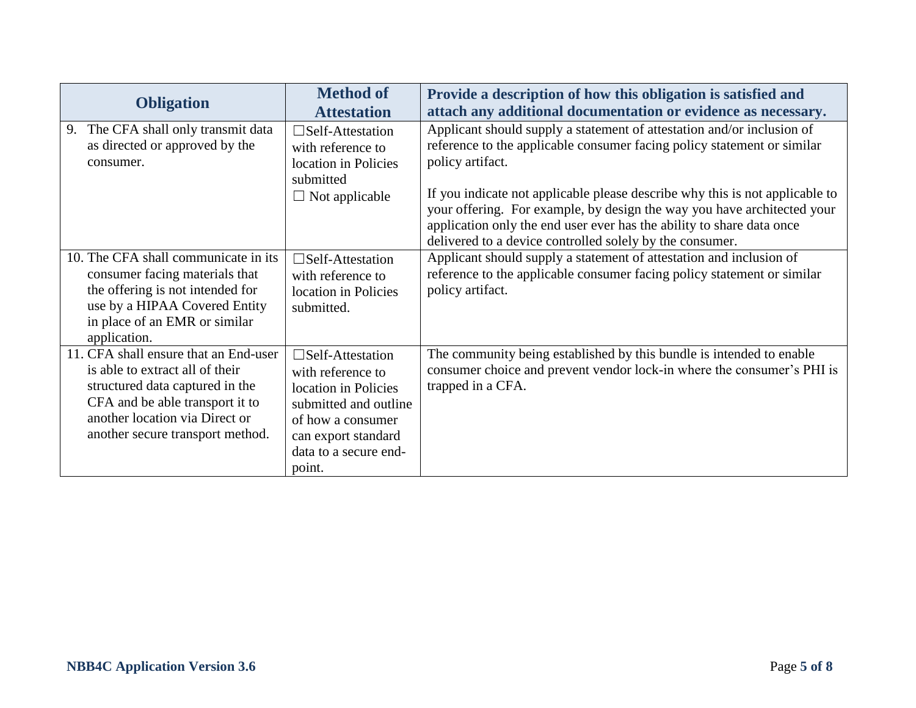| <b>Obligation</b>                                                                                                                                                                                                    | <b>Method of</b><br><b>Attestation</b>                                                                                                                                          | Provide a description of how this obligation is satisfied and<br>attach any additional documentation or evidence as necessary.                                                                                                                                                                                                                                                                                                                                        |
|----------------------------------------------------------------------------------------------------------------------------------------------------------------------------------------------------------------------|---------------------------------------------------------------------------------------------------------------------------------------------------------------------------------|-----------------------------------------------------------------------------------------------------------------------------------------------------------------------------------------------------------------------------------------------------------------------------------------------------------------------------------------------------------------------------------------------------------------------------------------------------------------------|
| The CFA shall only transmit data<br>9.<br>as directed or approved by the<br>consumer.                                                                                                                                | $\square$ Self-Attestation<br>with reference to<br>location in Policies<br>submitted<br>$\Box$ Not applicable                                                                   | Applicant should supply a statement of attestation and/or inclusion of<br>reference to the applicable consumer facing policy statement or similar<br>policy artifact.<br>If you indicate not applicable please describe why this is not applicable to<br>your offering. For example, by design the way you have architected your<br>application only the end user ever has the ability to share data once<br>delivered to a device controlled solely by the consumer. |
| 10. The CFA shall communicate in its<br>consumer facing materials that<br>the offering is not intended for<br>use by a HIPAA Covered Entity<br>in place of an EMR or similar<br>application.                         | $\square$ Self-Attestation<br>with reference to<br>location in Policies<br>submitted.                                                                                           | Applicant should supply a statement of attestation and inclusion of<br>reference to the applicable consumer facing policy statement or similar<br>policy artifact.                                                                                                                                                                                                                                                                                                    |
| 11. CFA shall ensure that an End-user<br>is able to extract all of their<br>structured data captured in the<br>CFA and be able transport it to<br>another location via Direct or<br>another secure transport method. | $\square$ Self-Attestation<br>with reference to<br>location in Policies<br>submitted and outline<br>of how a consumer<br>can export standard<br>data to a secure end-<br>point. | The community being established by this bundle is intended to enable<br>consumer choice and prevent vendor lock-in where the consumer's PHI is<br>trapped in a CFA.                                                                                                                                                                                                                                                                                                   |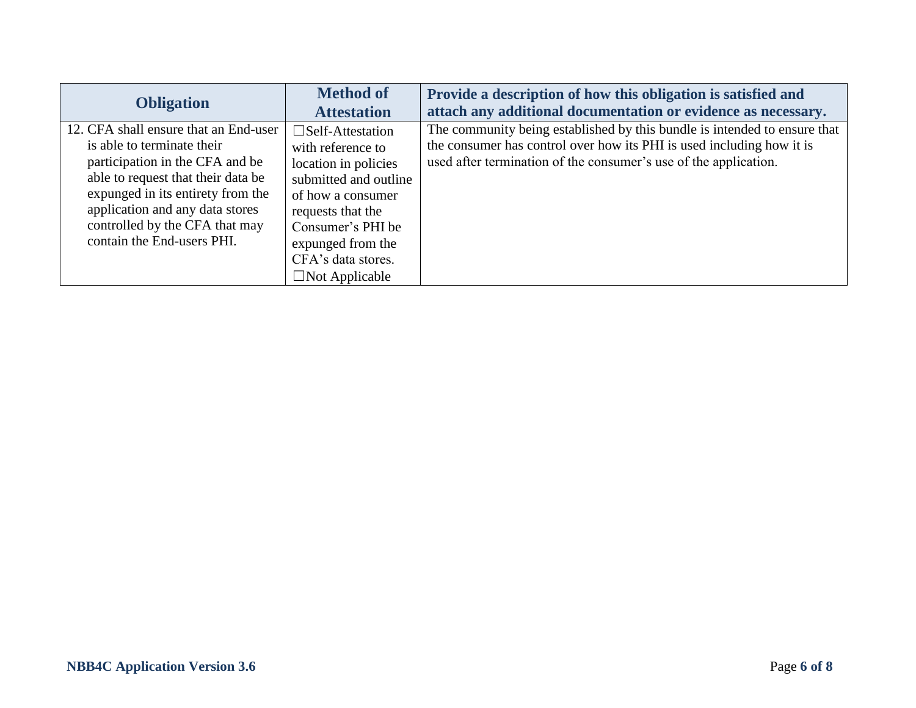| <b>Obligation</b>                                                                                                                                                                                                                                                                    | <b>Method of</b><br><b>Attestation</b>                                                                                                                                                                                              | Provide a description of how this obligation is satisfied and<br>attach any additional documentation or evidence as necessary.                                                                                         |
|--------------------------------------------------------------------------------------------------------------------------------------------------------------------------------------------------------------------------------------------------------------------------------------|-------------------------------------------------------------------------------------------------------------------------------------------------------------------------------------------------------------------------------------|------------------------------------------------------------------------------------------------------------------------------------------------------------------------------------------------------------------------|
| 12. CFA shall ensure that an End-user<br>is able to terminate their<br>participation in the CFA and be<br>able to request that their data be<br>expunged in its entirety from the<br>application and any data stores<br>controlled by the CFA that may<br>contain the End-users PHI. | $\square$ Self-Attestation<br>with reference to<br>location in policies<br>submitted and outline<br>of how a consumer<br>requests that the<br>Consumer's PHI be<br>expunged from the<br>CFA's data stores.<br>$\Box$ Not Applicable | The community being established by this bundle is intended to ensure that<br>the consumer has control over how its PHI is used including how it is<br>used after termination of the consumer's use of the application. |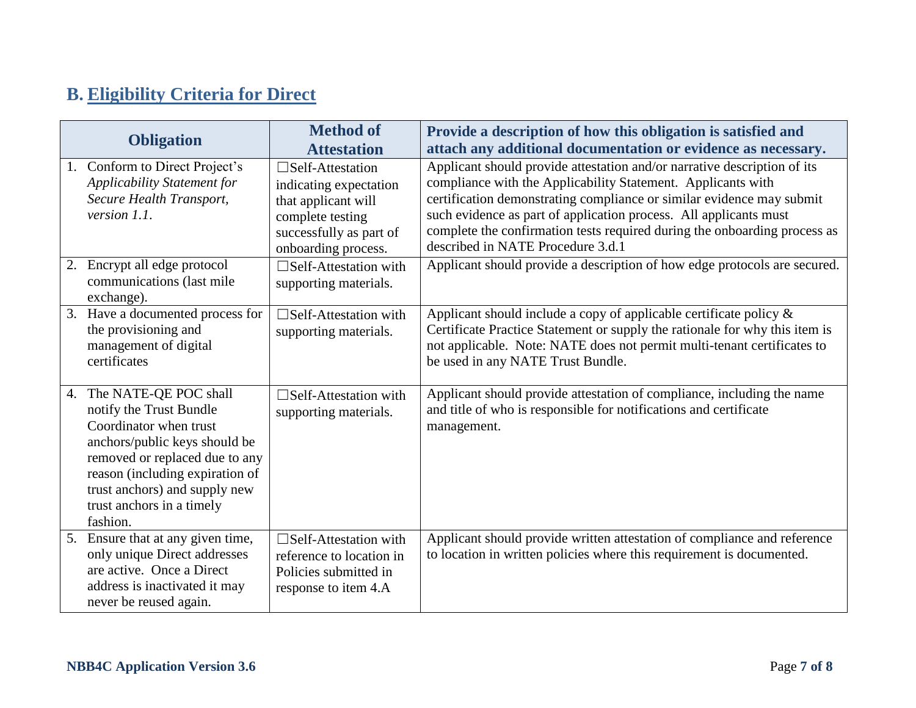# **B. Eligibility Criteria for Direct**

|    | <b>Obligation</b>                                                                                                                                                                                                                                          | <b>Method of</b>                                                                                                                                  | Provide a description of how this obligation is satisfied and                                                                                                                                                                                                                                                                                                                                            |
|----|------------------------------------------------------------------------------------------------------------------------------------------------------------------------------------------------------------------------------------------------------------|---------------------------------------------------------------------------------------------------------------------------------------------------|----------------------------------------------------------------------------------------------------------------------------------------------------------------------------------------------------------------------------------------------------------------------------------------------------------------------------------------------------------------------------------------------------------|
|    |                                                                                                                                                                                                                                                            | <b>Attestation</b>                                                                                                                                | attach any additional documentation or evidence as necessary.                                                                                                                                                                                                                                                                                                                                            |
| 1. | Conform to Direct Project's<br><b>Applicability Statement for</b><br>Secure Health Transport,<br>version $1.1.$                                                                                                                                            | $\square$ Self-Attestation<br>indicating expectation<br>that applicant will<br>complete testing<br>successfully as part of<br>onboarding process. | Applicant should provide attestation and/or narrative description of its<br>compliance with the Applicability Statement. Applicants with<br>certification demonstrating compliance or similar evidence may submit<br>such evidence as part of application process. All applicants must<br>complete the confirmation tests required during the onboarding process as<br>described in NATE Procedure 3.d.1 |
| 2. | Encrypt all edge protocol<br>communications (last mile<br>exchange).                                                                                                                                                                                       | $\square$ Self-Attestation with<br>supporting materials.                                                                                          | Applicant should provide a description of how edge protocols are secured.                                                                                                                                                                                                                                                                                                                                |
| 3. | Have a documented process for<br>the provisioning and<br>management of digital<br>certificates                                                                                                                                                             | $\Box$ Self-Attestation with<br>supporting materials.                                                                                             | Applicant should include a copy of applicable certificate policy $\&$<br>Certificate Practice Statement or supply the rationale for why this item is<br>not applicable. Note: NATE does not permit multi-tenant certificates to<br>be used in any NATE Trust Bundle.                                                                                                                                     |
| 4. | The NATE-QE POC shall<br>notify the Trust Bundle<br>Coordinator when trust<br>anchors/public keys should be<br>removed or replaced due to any<br>reason (including expiration of<br>trust anchors) and supply new<br>trust anchors in a timely<br>fashion. | $\Box$ Self-Attestation with<br>supporting materials.                                                                                             | Applicant should provide attestation of compliance, including the name<br>and title of who is responsible for notifications and certificate<br>management.                                                                                                                                                                                                                                               |
| 5. | Ensure that at any given time,<br>only unique Direct addresses<br>are active. Once a Direct<br>address is inactivated it may<br>never be reused again.                                                                                                     | $\square$ Self-Attestation with<br>reference to location in<br>Policies submitted in<br>response to item 4.A                                      | Applicant should provide written attestation of compliance and reference<br>to location in written policies where this requirement is documented.                                                                                                                                                                                                                                                        |